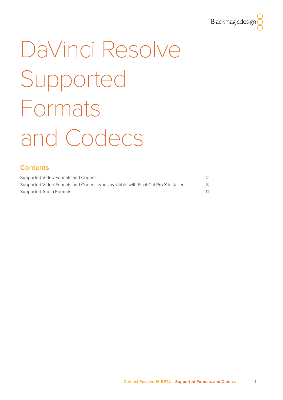

# <span id="page-0-0"></span>DaVinci Resolve Supported Formats and Codecs

# **Contents**

| Supported Video Formats and Codecs                                                |    |
|-----------------------------------------------------------------------------------|----|
| Supported Video Formats and Codecs types available with Final Cut Pro X installed | 8. |
| Supported Audio Formats                                                           |    |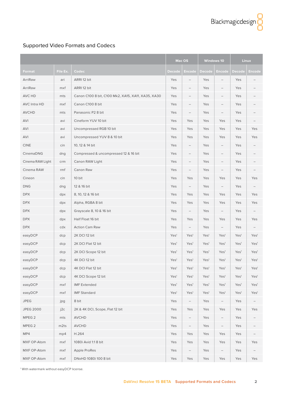<span id="page-1-0"></span>

|                     |          |                                                    |                  | Mac OS                   |                  | <b>Windows 10</b>        |                  | Linux            |
|---------------------|----------|----------------------------------------------------|------------------|--------------------------|------------------|--------------------------|------------------|------------------|
| Format              | File Ex. | Codec                                              | Decode           | Encode                   | <b>Decode</b>    | Encode                   | <b>Decode</b>    | <b>Encode</b>    |
| ArriRaw             | ari      | ARRI 12 bit                                        | Yes              | $\overline{\phantom{0}}$ | Yes              | $-$                      | Yes              |                  |
| ArriRaw             | mxf      | ARRI 12 bit                                        | Yes              | $\qquad \qquad -$        | Yes              |                          | Yes              |                  |
| AVC HD              | mts      | Canon C100 8 bit, C100 Mk2, XA15, XA11, XA35, XA30 | Yes              |                          | Yes              |                          | Yes              |                  |
| <b>AVC Intra HD</b> | mxf      | Canon C100 8 bit                                   | Yes              |                          | Yes              |                          | Yes              |                  |
| <b>AVCHD</b>        | mts      | Panasonic P2 8 bit                                 | Yes              |                          | Yes              |                          | Yes              |                  |
| AVI                 | avi      | Cineform YUV 10 bit                                | Yes              | Yes                      | Yes              | Yes                      | Yes              |                  |
| AVI                 | avi      | Uncompressed RGB 10 bit                            | Yes              | Yes                      | Yes              | Yes                      | Yes              | Yes              |
| AVI                 | avi      | Uncompressed YUV 8 & 10 bit                        | Yes              | Yes                      | Yes              | Yes                      | Yes              | Yes              |
| <b>CINE</b>         | cin      | 10, 12 & 14 bit                                    | Yes              | $\qquad \qquad -$        | Yes              |                          | Yes              |                  |
| CinemaDNG           | dng      | Compressed & uncompressed 12 & 16 bit              | Yes              | $\overline{\phantom{0}}$ | Yes              | $\overline{\phantom{0}}$ | Yes              |                  |
| Cinema RAW Light    | crm      | Canon RAW Light                                    | Yes              | $\qquad \qquad -$        | Yes              | $-$                      | Yes              |                  |
| Cinema RAW          | rmf      | Canon Raw                                          | Yes              | $\qquad \qquad -$        | Yes              |                          | Yes              |                  |
| Cineon              | cin      | 10 bit                                             | Yes              | Yes                      | Yes              | Yes                      | Yes              | Yes              |
| <b>DNG</b>          | dng      | 12 & 16 bit                                        | Yes              | $\qquad \qquad -$        | Yes              | $\overline{\phantom{0}}$ | Yes              |                  |
| <b>DPX</b>          | dpx      | 8, 10, 12 & 16 bit                                 | Yes              | Yes                      | Yes              | Yes                      | Yes              | Yes              |
| <b>DPX</b>          | dpx      | Alpha, RGBA 8 bit                                  | Yes              | Yes                      | Yes              | Yes                      | Yes              | Yes              |
| <b>DPX</b>          | dpx      | Grayscale 8, 10 & 16 bit                           | Yes              |                          | Yes              |                          | Yes              |                  |
| <b>DPX</b>          | dpx      | Half Float 16 bit                                  | Yes              | Yes                      | Yes              | Yes                      | Yes              | Yes              |
| <b>DPX</b>          | cdx      | <b>Action Cam Raw</b>                              | Yes              | $\qquad \qquad -$        | Yes              | $\qquad \qquad -$        | Yes              |                  |
| easyDCP             | dcp      | 2K DCI 12 bit                                      | Yes <sup>1</sup> | Yes <sup>1</sup>         | Yes <sup>1</sup> | Yes <sup>1</sup>         | Yes <sup>1</sup> | Yes <sup>1</sup> |
| easyDCP             | dcp      | 2K DCI Flat 12 bit                                 | Yes <sup>1</sup> | Yes <sup>1</sup>         | Yes <sup>1</sup> | Yes <sup>1</sup>         | Yes <sup>1</sup> | Yes <sup>1</sup> |
| easyDCP             | dcp      | 2K DCI Scope 12 bit                                | Yes <sup>1</sup> | Yes <sup>1</sup>         | Yes <sup>1</sup> | Yes <sup>1</sup>         | Yes <sup>1</sup> | Yes <sup>1</sup> |
| easyDCP             | dcp      | 4K DCI 12 bit                                      | Yes <sup>1</sup> | Yes <sup>1</sup>         | Yes <sup>1</sup> | Yes <sup>1</sup>         | Yes <sup>1</sup> | Yes <sup>1</sup> |
| easyDCP             | dcp      | 4K DCI Flat 12 bit                                 | Yes <sup>1</sup> | Yes <sup>1</sup>         | Yes <sup>1</sup> | Yes <sup>1</sup>         | Yes <sup>1</sup> | Yes <sup>1</sup> |
| easyDCP             | dcp      | 4K DCI Scope 12 bit                                | Yes <sup>1</sup> | Yes <sup>1</sup>         | Yes <sup>1</sup> | Yes <sup>1</sup>         | Yes <sup>1</sup> | Yes <sup>1</sup> |
| easyDCP             | mxf      | <b>IMF Extended</b>                                | Yes <sup>1</sup> | Yes <sup>1</sup>         | Yes <sup>1</sup> | Yes <sup>1</sup>         | Yes <sup>1</sup> | Yes <sup>1</sup> |
| easyDCP             | mxf      | <b>IMF Standard</b>                                | Yes <sup>1</sup> | Yes <sup>1</sup>         | Yes <sup>1</sup> | Yes <sup>1</sup>         | Yes <sup>1</sup> | Yes <sup>1</sup> |
| <b>JPEG</b>         | jpg      | 8 bit                                              | Yes              | $\qquad \qquad -$        | Yes              | $\qquad \qquad -$        | Yes              |                  |
| <b>JPEG 2000</b>    | j2c      | 2K & 4K DCI, Scope, Flat 12 bit                    | Yes              | Yes                      | Yes              | Yes                      | Yes              | Yes              |
| MPEG <sub>2</sub>   | mts      | <b>AVCHD</b>                                       | Yes              |                          | Yes              |                          | Yes              |                  |
| MPEG <sub>2</sub>   | m2ts     | AVCHD                                              | Yes              | $\qquad \qquad -$        | Yes              | $\qquad \qquad -$        | Yes              |                  |
| MP4                 | mp4      | H.264                                              | Yes              | Yes                      | Yes              | Yes                      | Yes              |                  |
| MXF OP-Atom         | mxf      | 1080i Avid 1:18 bit                                | Yes              | Yes                      | Yes              | Yes                      | Yes              | Yes              |
| MXF OP-Atom         | mxf      | Apple ProRes                                       | Yes              |                          | Yes              |                          | Yes              |                  |
| MXF OP-Atom         | mxf      | DNxHD 1080i 100 8 bit                              | Yes              | Yes                      | Yes              | Yes                      | Yes              | Yes              |

1 With watermark without easyDCP license.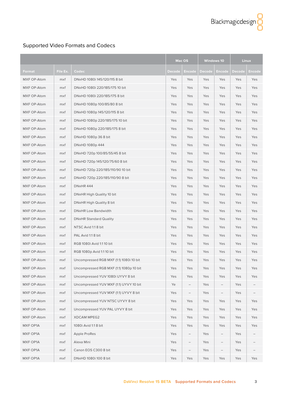|             |          |                                         | Mac OS<br><b>Windows 10</b> |                          |        | <b>Linux</b> |               |        |
|-------------|----------|-----------------------------------------|-----------------------------|--------------------------|--------|--------------|---------------|--------|
| Format      | File Ex. | Codec                                   | Decode                      | Encode                   | Decode | Encode       | <b>Decode</b> | Encode |
| MXF OP-Atom | mxf      | DNxHD 1080i 145/120/115 8 bit           | Yes                         | Yes                      | Yes    | Yes          | Yes           | Yes    |
| MXF OP-Atom | mxf      | DNxHD 1080i 220/185/175 10 bit          | Yes                         | Yes                      | Yes    | Yes          | Yes           | Yes    |
| MXF OP-Atom | mxf      | DNxHD 1080i 220/185/175 8 bit           | Yes                         | Yes                      | Yes    | Yes          | Yes           | Yes    |
| MXF OP-Atom | mxf      | DNxHD 1080p 100/85/80 8 bit             | Yes                         | Yes                      | Yes    | Yes          | Yes           | Yes    |
| MXF OP-Atom | mxf      | DNxHD 1080p 145/120/115 8 bit           | Yes                         | Yes                      | Yes    | Yes          | Yes           | Yes    |
| MXF OP-Atom | mxf      | DNxHD 1080p 220/185/175 10 bit          | Yes                         | Yes                      | Yes    | Yes          | Yes           | Yes    |
| MXF OP-Atom | mxf      | DNxHD 1080p 220/185/175 8 bit           | Yes                         | Yes                      | Yes    | Yes          | Yes           | Yes    |
| MXF OP-Atom | mxf      | DNxHD 1080p 36 8 bit                    | Yes                         | Yes                      | Yes    | Yes          | Yes           | Yes    |
| MXF OP-Atom | mxf      | DNxHD 1080p 444                         | Yes                         | Yes                      | Yes    | Yes          | Yes           | Yes    |
| MXF OP-Atom | mxf      | DNxHD 720p 100/85/55/45 8 bit           | Yes                         | Yes                      | Yes    | Yes          | Yes           | Yes    |
| MXF OP-Atom | mxf      | DNxHD 720p 145/120/75/60 8 bit          | Yes                         | Yes                      | Yes    | Yes          | Yes           | Yes    |
| MXF OP-Atom | mxf      | DNxHD 720p 220/185/110/90 10 bit        | Yes                         | Yes                      | Yes    | Yes          | Yes           | Yes    |
| MXF OP-Atom | mxf      | DNxHD 720p 220/185/110/90 8 bit         | Yes                         | Yes                      | Yes    | Yes          | Yes           | Yes    |
| MXF OP-Atom | mxf      | DNxHR 444                               | Yes                         | Yes                      | Yes    | Yes          | Yes           | Yes    |
| MXF OP-Atom | mxf      | DNxHR High Quality 10 bit               | Yes                         | Yes                      | Yes    | Yes          | Yes           | Yes    |
| MXF OP-Atom | mxf      | DNxHR High Quality 8 bit                | Yes                         | Yes                      | Yes    | Yes          | Yes           | Yes    |
| MXF OP-Atom | mxf      | <b>DNxHR Low Bandwidth</b>              | Yes                         | Yes                      | Yes    | Yes          | Yes           | Yes    |
| MXF OP-Atom | mxf      | <b>DNxHR Standard Quality</b>           | Yes                         | Yes                      | Yes    | Yes          | Yes           | Yes    |
| MXF OP-Atom | mxf      | NTSC Avid 1:1 8 bit                     | Yes                         | Yes                      | Yes    | Yes          | Yes           | Yes    |
| MXF OP-Atom | mxf      | PAL Avid 1:1 8 bit                      | Yes                         | Yes                      | Yes    | Yes          | Yes           | Yes    |
| MXF OP-Atom | mxf      | RGB 1080i Avid 1:1 10 bit               | Yes                         | Yes                      | Yes    | Yes          | Yes           | Yes    |
| MXF OP-Atom | mxf      | RGB 1080p Avid 1:1 10 bit               | Yes                         | Yes                      | Yes    | Yes          | Yes           | Yes    |
| MXF OP-Atom | mxf      | Uncompressed RGB MXF (1:1) 1080i 10 bit | Yes                         | Yes                      | Yes    | Yes          | Yes           | Yes    |
| MXF OP-Atom | mxf      | Uncompressed RGB MXF (1:1) 1080p 10 bit | Yes                         | Yes                      | Yes    | Yes          | Yes           | Yes    |
| MXF OP-Atom | mxf      | Uncompressed YUV 1080i UYVY 8 bit       | Yes                         | Yes                      | Yes    | Yes          | Yes           | Yes    |
| MXF OP-Atom | mxf      | Uncompressed YUV MXF (1:1) UYVY 10 bit  | Ye                          |                          | Yes    |              | Yes           |        |
| MXF OP-Atom | mxf      | Uncompressed YUV MXF (1:1) UYVY 8 bit   | Yes                         | $\overline{\phantom{0}}$ | Yes    |              | Yes           |        |
| MXF OP-Atom | mxf      | Uncompressed YUV NTSC UYVY 8 bit        | Yes                         | Yes                      | Yes    | Yes          | Yes           | Yes    |
| MXF OP-Atom | mxf      | Uncompressed YUV PAL UYVY 8 bit         | Yes                         | Yes                      | Yes    | Yes          | Yes           | Yes    |
| MXF OP-Atom | mxf      | XDCAM MPEG2                             | Yes                         | Yes                      | Yes    | Yes          | Yes           | Yes    |
| MXF OP1A    | mxf      | 1080i Avid 1:18 bit                     | Yes                         | Yes                      | Yes    | Yes          | Yes           | Yes    |
| MXF OP1A    | mxf      | <b>Apple ProRes</b>                     | Yes                         |                          | Yes    |              | Yes           |        |
| MXF OP1A    | mxf      | Alexa Mini                              | Yes                         | $\qquad \qquad -$        | Yes    |              | Yes           |        |
| MXF OP1A    | mxf      | Canon EOS C300 8 bit                    | Yes                         | $\qquad \qquad -$        | Yes    |              | Yes           |        |
| MXF OP1A    | mxf      | DNxHD 1080i 100 8 bit                   | Yes                         | Yes                      | Yes    | Yes          | Yes           | Yes    |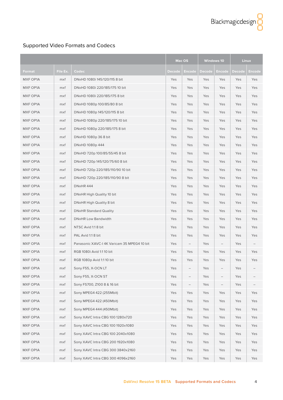|                 |          |                                             |        | Mac OS                   |               | <b>Windows 10</b> |               | <b>Linux</b>  |
|-----------------|----------|---------------------------------------------|--------|--------------------------|---------------|-------------------|---------------|---------------|
| Format          | File Ex. | Codec                                       | Decode | Encode                   | <b>Decode</b> | Encode            | <b>Decode</b> | <b>Encode</b> |
| <b>MXF OP1A</b> | mxf      | DNxHD 1080i 145/120/115 8 bit               | Yes    | Yes                      | Yes           | Yes               | Yes           | Yes           |
| MXF OP1A        | mxf      | DNxHD 1080i 220/185/175 10 bit              | Yes    | Yes                      | Yes           | Yes               | Yes           | Yes           |
| MXF OP1A        | mxf      | DNxHD 1080i 220/185/175 8 bit               | Yes    | Yes                      | Yes           | Yes               | Yes           | Yes           |
| MXF OP1A        | mxf      | DNxHD 1080p 100/85/80 8 bit                 | Yes    | Yes                      | Yes           | Yes               | Yes           | Yes           |
| MXF OP1A        | mxf      | DNxHD 1080p 145/120/115 8 bit               | Yes    | Yes                      | Yes           | Yes               | Yes           | Yes           |
| MXF OP1A        | mxf      | DNxHD 1080p 220/185/175 10 bit              | Yes    | Yes                      | Yes           | Yes               | Yes           | Yes           |
| MXF OP1A        | mxf      | DNxHD 1080p 220/185/175 8 bit               | Yes    | Yes                      | Yes           | Yes               | Yes           | Yes           |
| MXF OP1A        | mxf      | DNxHD 1080p 36 8 bit                        | Yes    | Yes                      | Yes           | Yes               | Yes           | Yes           |
| MXF OP1A        | mxf      | DNxHD 1080p 444                             | Yes    | Yes                      | Yes           | Yes               | Yes           | Yes           |
| MXF OP1A        | mxf      | DNxHD 720p 100/85/55/45 8 bit               | Yes    | Yes                      | Yes           | Yes               | Yes           | Yes           |
| MXF OP1A        | mxf      | DNxHD 720p 145/120/75/60 8 bit              | Yes    | Yes                      | Yes           | Yes               | Yes           | Yes           |
| MXF OP1A        | mxf      | DNxHD 720p 220/185/110/90 10 bit            | Yes    | Yes                      | Yes           | Yes               | Yes           | Yes           |
| MXF OP1A        | mxf      | DNxHD 720p 220/185/110/90 8 bit             | Yes    | Yes                      | Yes           | Yes               | Yes           | Yes           |
| MXF OP1A        | mxf      | DNxHR 444                                   | Yes    | Yes                      | Yes           | Yes               | Yes           | Yes           |
| MXF OP1A        | mxf      | DNxHR High Quality 10 bit                   | Yes    | Yes                      | Yes           | Yes               | Yes           | Yes           |
| MXF OP1A        | mxf      | DNxHR High Quality 8 bit                    | Yes    | Yes                      | Yes           | Yes               | Yes           | Yes           |
| MXF OP1A        | mxf      | <b>DNxHR Standard Quality</b>               | Yes    | Yes                      | Yes           | Yes               | Yes           | Yes           |
| MXF OP1A        | mxf      | DNxHR Low Bandwidth                         | Yes    | Yes                      | Yes           | Yes               | Yes           | Yes           |
| MXF OP1A        | mxf      | NTSC Avid 1:1 8 bit                         | Yes    | Yes                      | Yes           | Yes               | Yes           | Yes           |
| MXF OP1A        | mxf      | PAL Avid 1:1 8 bit                          | Yes    | Yes                      | Yes           | Yes               | Yes           | Yes           |
| MXF OP1A        | mxf      | Panasonic XAVC-I 4K Varicam 35 MPEG4 10 bit | Yes    | $\overline{\phantom{a}}$ | Yes           | -                 | Yes           |               |
| MXF OP1A        | mxf      | RGB 1080i Avid 1:110 bit                    | Yes    | Yes                      | Yes           | Yes               | Yes           | Yes           |
| MXF OP1A        | mxf      | RGB 1080p Avid 1:1 10 bit                   | Yes    | Yes                      | Yes           | Yes               | Yes           | Yes           |
| MXF OP1A        | mxf      | Sony F55, X-OCN LT                          | Yes    |                          | Yes           |                   | Yes           |               |
| MXF OP1A        | mxf      | Sony F55, X-OCN ST                          | Yes    |                          | Yes           |                   | Yes           |               |
| MXF OP1A        | mxf      | Sony FS700, Z100 8 & 16 bit                 | Yes    |                          | Yes           |                   | Yes           |               |
| MXF OP1A        | mxf      | Sony MPEG4 422 (255Mbit)                    | Yes    | Yes                      | Yes           | Yes               | Yes           | Yes           |
| MXF OP1A        | mxf      | Sony MPEG4 422 (450Mbit)                    | Yes    | Yes                      | Yes           | Yes               | Yes           | Yes           |
| MXF OP1A        | mxf      | Sony MPEG4 444 (450Mbit)                    | Yes    | Yes                      | Yes           | Yes               | Yes           | Yes           |
| MXF OP1A        | mxf      | Sony XAVC Intra CBG 100 1280x720            | Yes    | Yes                      | Yes           | Yes               | Yes           | Yes           |
| MXF OP1A        | mxf      | Sony XAVC Intra CBG 100 1920x1080           | Yes    | Yes                      | Yes           | Yes               | Yes           | Yes           |
| MXF OP1A        | mxf      | Sony XAVC Intra CBG 100 2040x1080           | Yes    | Yes                      | Yes           | Yes               | Yes           | Yes           |
| MXF OP1A        | mxf      | Sony XAVC Intra CBG 200 1920x1080           | Yes    | Yes                      | Yes           | Yes               | Yes           | Yes           |
| MXF OP1A        | mxf      | Sony XAVC Intra CBG 300 3840x2160           | Yes    | Yes                      | Yes           | Yes               | Yes           | Yes           |
| MXF OP1A        | mxf      | Sony XAVC Intra CBG 300 4096x2160           | Yes    | Yes                      | Yes           | Yes               | Yes           | Yes           |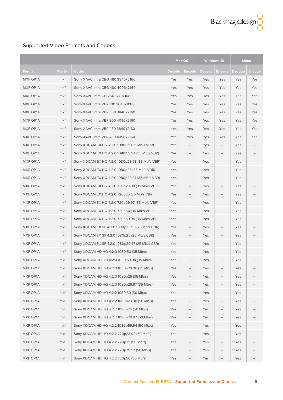|                 |          |                                                 | Mac OS |                          |        | <b>Windows 10</b> |               | <b>Linux</b>  |
|-----------------|----------|-------------------------------------------------|--------|--------------------------|--------|-------------------|---------------|---------------|
| Format          | File Ex. | Codec                                           | Decode | Encode                   | Decode | Encode            | <b>Decode</b> | <b>Encode</b> |
| MXF OP1A        | mxf      | Sony XAVC Intra CBG 480 3840x2160               | Yes    | Yes                      | Yes    | Yes               | Yes           | Yes           |
| <b>MXF OP1A</b> | mxf      | Sony XAVC Intra CBG 480 4096x2160               | Yes    | Yes                      | Yes    | Yes               | Yes           | Yes           |
| MXF OP1A        | mxf      | Sony XAVC Intra CBG 50 1440x1080                | Yes    | Yes                      | Yes    | Yes               | Yes           | Yes           |
| MXF OP1A        | mxf      | Sony XAVC Intra VBR 100 2048x1080               | Yes    | Yes                      | Yes    | Yes               | Yes           | Yes           |
| MXF OP1A        | mxf      | Sony XAVC Intra VBR 300 3840x2160               | Yes    | Yes                      | Yes    | Yes               | Yes           | Yes           |
| MXF OP1A        | mxf      | Sony XAVC Intra VBR 300 4096x2160               | Yes    | Yes                      | Yes    | Yes               | Yes           | Yes           |
| MXF OP1A        | mxf      | Sony XAVC Intra VBR 480 3840x2160               | Yes    | Yes                      | Yes    | Yes               | Yes           | Yes           |
| MXF OP1A        | mxf      | Sony XAVC Intra VBR 480 4096x2160               | Yes    | Yes                      | Yes    | Yes               | Yes           | Yes           |
| MXF OP1A        | mxf      | Sony XDCAM EX HQ 4:2:0 1080i25 (35 Mb/s VBR)    | Yes    |                          | Yes    |                   | Yes           |               |
| MXF OP1A        | mxf      | Sony XDCAM EX HQ 4:2:0 1080i59.94 (35 Mb/s VBR) | Yes    |                          | Yes    |                   | Yes           |               |
| MXF OP1A        | mxf      | Sony XDCAM EX HQ 4:2:0 1080p23.98 (35 Mb/s VBR) | Yes    |                          | Yes    |                   | Yes           |               |
| MXF OP1A        | mxf      | Sony XDCAM EX HQ 4:2:0 1080p25 (35 Mb/s VBR)    | Yes    |                          | Yes    |                   | Yes           |               |
| MXF OP1A        | mxf      | Sony XDCAM EX HQ 4:2:0 1080p29.97 (35 Mb/s VBR) | Yes    |                          | Yes    |                   | Yes           |               |
| MXF OP1A        | mxf      | Sony XDCAM EX HQ 4:2:0 720p23.98 (35 Mb/s VBR)  | Yes    |                          | Yes    |                   | Yes           |               |
| MXF OP1A        | mxf      | Sony XDCAM EX HQ 4:2:0 720p25 (35 Mb/s VBR)     | Yes    |                          | Yes    |                   | Yes           |               |
| MXF OP1A        | mxf      | Sony XDCAM EX HQ 4:2:0 720p29.97 (35 Mb/s VBR)  | Yes    |                          | Yes    |                   | Yes           |               |
| MXF OP1A        | mxf      | Sony XDCAM EX HQ 4:2:0 720p50 (35 Mb/s VBR)     | Yes    |                          | Yes    |                   | Yes           |               |
| MXF OP1A        | mxf      | Sony XDCAM EX HQ 4:2:0 720p59.94 (35 Mb/s VBR)  | Yes    | $\overline{\phantom{0}}$ | Yes    |                   | Yes           |               |
| <b>MXF OP1A</b> | mxf      | Sony XDCAM EX SP 4:2:0 1080p23.98 (25 Mb/s CBR) | Yes    |                          | Yes    |                   | Yes           |               |
| MXF OP1A        | mxf      | Sony XDCAM EX SP 4:2:0 1080p25 (25 Mb/s CBR)    | Yes    |                          | Yes    |                   | Yes           |               |
| MXF OP1A        | mxf      | Sony XDCAM EX SP 4:2:0 1080p29.97 (25 Mb/s CBR) | Yes    |                          | Yes    |                   | Yes           |               |
| MXF OP1A        | mxf      | Sony XDCAM HD HQ 4:2:0 1080i50 (35 Mb/s)        | Yes    |                          | Yes    |                   | Yes           |               |
| <b>MXF OP1A</b> | mxf      | Sony XDCAM HD HQ 4:2:0 1080159.94 (35 Mb/s)     | Yes    |                          | Yes    |                   | Yes           |               |
| MXF OP1A        | mxf      | Sony XDCAM HD HQ 4:2:0 1080p23.98 (35 Mb/s)     | Yes    |                          | Yes    |                   | Yes           |               |
| MXF OP1A        | mxf      | Sony XDCAM HD HQ 4:2:0 1080p25 (35 Mb/s)        | Yes    |                          | Yes    |                   | Yes           |               |
| MXF OP1A        | mxf      | Sony XDCAM HD HQ 4:2:0 1080p29.97 (35 Mb/s)     | Yes    |                          | Yes    |                   | Yes           |               |
| MXF OP1A        | mxf      | Sony XDCAM HD HQ 4:2:2 1080i50 (50 Mb/s)        | Yes    |                          | Yes    |                   | Yes           |               |
| MXF OP1A        | mxf      | Sony XDCAM HD HQ 4:2:2 1080p23.98 (50 Mb/s)     | Yes    |                          | Yes    |                   | Yes           |               |
| MXF OP1A        | mxf      | Sony XDCAM HD HQ 4:2:2 1080p25 (50 Mb/s)        | Yes    |                          | Yes    |                   | Yes           |               |
| MXF OP1A        | mxf      | Sony XDCAM HD HQ 4:2:2 1080p29.97 (50 Mb/s)     | Yes    |                          | Yes    |                   | Yes           |               |
| MXF OP1A        | mxf      | Sony XDCAM HD HQ 4:2:2 1080p59.94 (50 Mb/s)     | Yes    |                          | Yes    |                   | Yes           |               |
| MXF OP1A        | mxf      | Sony XDCAM HD HQ 4:2:2 720p23.98 (50 Mb/s)      | Yes    |                          | Yes    |                   | Yes           |               |
| MXF OP1A        | mxf      | Sony XDCAM HD HQ 4:2:2 720p25 (50 Mb/s)         | Yes    |                          | Yes    |                   | Yes           |               |
| MXF OP1A        | mxf      | Sony XDCAM HD HQ 4:2:2 720p29.97 (50 Mb/s)      | Yes    |                          | Yes    |                   | Yes           |               |
| MXF OP1A        | mxf      | Sony XDCAM HD HQ 4:2:2 720p50 (50 Mb/s)         | Yes    |                          | Yes    |                   | Yes           |               |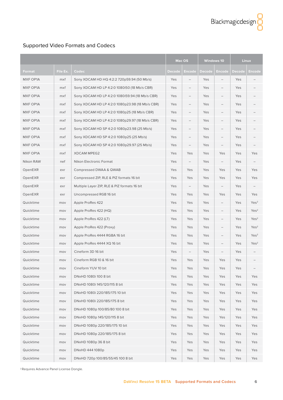|                 |          |                                                 | Mac OS        |                          | <b>Windows 10</b> |                          |               | Linux            |
|-----------------|----------|-------------------------------------------------|---------------|--------------------------|-------------------|--------------------------|---------------|------------------|
| Format          | File Ex. | Codec                                           | <b>Decode</b> | Encode                   | Decode            | Encode                   | <b>Decode</b> | Encode           |
| <b>MXF OP1A</b> | mxf      | Sony XDCAM HD HQ 4:2:2 720p59.94 (50 Mb/s)      | Yes           |                          | Yes               |                          | Yes           |                  |
| MXF OP1A        | mxf      | Sony XDCAM HD LP 4:2:0 1080i50 (18 Mb/s CBR)    | Yes           | $\overline{\phantom{0}}$ | Yes               |                          | Yes           |                  |
| MXF OP1A        | mxf      | Sony XDCAM HD LP 4:2:0 1080i59.94 (18 Mb/s CBR) | Yes           |                          | Yes               |                          | Yes           |                  |
| MXF OP1A        | mxf      | Sony XDCAM HD LP 4:2:0 1080p23.98 (18 Mb/s CBR) | Yes           |                          | Yes               |                          | Yes           |                  |
| MXF OP1A        | mxf      | Sony XDCAM HD LP 4:2:0 1080p25 (18 Mb/s CBR)    | Yes           |                          | Yes               |                          | Yes           |                  |
| MXF OP1A        | mxf      | Sony XDCAM HD LP 4:2:0 1080p29.97 (18 Mb/s CBR) | Yes           |                          | Yes               |                          | Yes           |                  |
| MXF OP1A        | mxf      | Sony XDCAM HD SP 4:2:0 1080p23.98 (25 Mb/s)     | Yes           | $\overline{\phantom{0}}$ | Yes               | $\overline{\phantom{0}}$ | Yes           |                  |
| MXF OP1A        | mxf      | Sony XDCAM HD SP 4:2:0 1080p25 (25 Mb/s)        | Yes           |                          | Yes               |                          | Yes           |                  |
| MXF OP1A        | mxf      | Sony XDCAM HD SP 4:2:0 1080p29.97 (25 Mb/s)     | Yes           |                          | Yes               |                          | Yes           |                  |
| MXF OP1A        | mxf      | <b>XDCAM MPEG2</b>                              | Yes           | Yes                      | Yes               | Yes                      | Yes           | Yes              |
| Nikon RAW       | nef      | Nikon Electronic Format                         | Yes           | $-$                      | Yes               | $\overline{\phantom{0}}$ | Yes           |                  |
| OpenEXR         | exr      | Compressed DWAA & QWAB                          | Yes           | Yes                      | Yes               | Yes                      | Yes           | Yes              |
| OpenEXR         | exr      | Compressed ZIP, RLE & PIZ formats 16 bit        | Yes           | Yes                      | Yes               | Yes                      | Yes           | Yes              |
| OpenEXR         | exr      | Multiple Layer ZIP, RLE & PIZ formats 16 bit    | Yes           |                          | Yes               |                          | Yes           |                  |
| OpenEXR         | exr      | Uncompressed RGB 16 bit                         | Yes           | Yes                      | Yes               | Yes                      | Yes           | Yes              |
| Quicktime       | mov      | Apple ProRes 422                                | Yes           | Yes                      | Yes               | $\qquad \qquad -$        | Yes           | Yes <sup>2</sup> |
| Quicktime       | mov      | Apple ProRes 422 (HQ)                           | Yes           | Yes                      | Yes               |                          | Yes           | Yes <sup>2</sup> |
| Quicktime       | mov      | Apple ProRes 422 (LT)                           | Yes           | Yes                      | Yes               |                          | Yes           | Yes <sup>2</sup> |
| Quicktime       | mov      | Apple ProRes 422 (Proxy)                        | Yes           | Yes                      | Yes               |                          | Yes           | Yes <sup>2</sup> |
| Quicktime       | mov      | Apple ProRes 4444 RGBA 16 bit                   | Yes           | Yes                      | Yes               |                          | Yes           | Yes <sup>2</sup> |
| Quicktime       | mov      | Apple ProRes 4444 XQ 16 bit                     | Yes           | Yes                      | Yes               |                          | Yes           | Yes <sup>2</sup> |
| Quicktime       | mov      | Cineform 3D 16 bit                              | Yes           |                          | Yes               |                          | Yes           |                  |
| Quicktime       | mov      | Cineform RGB 10 & 16 bit                        | Yes           | Yes                      | Yes               | Yes                      | Yes           |                  |
| Quicktime       | mov      | Cineform YUV 10 bit                             | Yes           | Yes                      | Yes               | Yes                      | Yes           |                  |
| Quicktime       | mov      | DNxHD 1080i 100 8 bit                           | Yes           | Yes                      | Yes               | Yes                      | Yes           | Yes              |
| Quicktime       | mov      | DNxHD 1080i 145/120/115 8 bit                   | Yes           | Yes                      | Yes               | Yes                      | Yes           | Yes              |
| Quicktime       | mov      | DNxHD 1080i 220/185/175 10 bit                  | Yes           | Yes                      | Yes               | Yes                      | Yes           | Yes              |
| Quicktime       | mov      | DNxHD 1080i 220/185/175 8 bit                   | Yes           | Yes                      | Yes               | Yes                      | Yes           | Yes              |
| Quicktime       | mov      | DNxHD 1080p 100/85/80 100 8 bit                 | Yes           | Yes                      | Yes               | Yes                      | Yes           | Yes              |
| Quicktime       | mov      | DNxHD 1080p 145/120/115 8 bit                   | Yes           | Yes                      | Yes               | Yes                      | Yes           | Yes              |
| Quicktime       | mov      | DNxHD 1080p 220/185/175 10 bit                  | Yes           | Yes                      | Yes               | Yes                      | Yes           | Yes              |
| Quicktime       | mov      | DNxHD 1080p 220/185/175 8 bit                   | Yes           | Yes                      | Yes               | Yes                      | Yes           | Yes              |
| Quicktime       | mov      | DNxHD 1080p 36 8 bit                            | Yes           | Yes                      | Yes               | Yes                      | Yes           | Yes              |
| Quicktime       | mov      | DNxHD 444 1080p                                 | Yes           | Yes                      | Yes               | Yes                      | Yes           | Yes              |
| Quicktime       | mov      | DNxHD 720p 100/85/55/45 100 8 bit               | Yes           | Yes                      | Yes               | Yes                      | Yes           | Yes              |

<sup>2</sup> Requires Advance Panel License Dongle.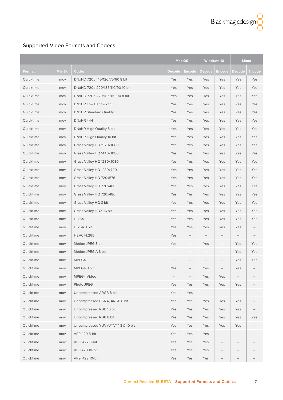|           |          |                                    | Mac OS        |                   | <b>Windows 10</b>        |                   | <b>Linux</b>      |        |
|-----------|----------|------------------------------------|---------------|-------------------|--------------------------|-------------------|-------------------|--------|
| Format    | File Ex. | Codec                              | <b>Decode</b> | <b>Encode</b>     | <b>Decode</b>            | <b>Encode</b>     | <b>Decode</b>     | Encode |
| Quicktime | mov      | DNxHD 720p 145/120/75/60 8 bit     | Yes           | Yes               | Yes                      | Yes               | Yes               | Yes    |
| Quicktime | mov      | DNxHD 720p 220/185/110/90 10 bit   | Yes           | Yes               | Yes                      | Yes               | Yes               | Yes    |
| Quicktime | mov      | DNxHD 720p 220/185/110/90 8 bit    | Yes           | Yes               | Yes                      | Yes               | Yes               | Yes    |
| Quicktime | mov      | <b>DNxHR Low Bandwidth</b>         | Yes           | Yes               | Yes                      | Yes               | Yes               | Yes    |
| Quicktime | mov      | <b>DNxHR Standard Quality</b>      | Yes           | Yes               | Yes                      | Yes               | Yes               | Yes    |
| Quicktime | mov      | DNxHR 444                          | Yes           | Yes               | Yes                      | Yes               | Yes               | Yes    |
| Quicktime | mov      | DNxHR High Quality 8 bit           | Yes           | Yes               | Yes                      | Yes               | Yes               | Yes    |
| Quicktime | mov      | DNxHR High Quality 10 bit          | Yes           | Yes               | Yes                      | Yes               | Yes               | Yes    |
| Quicktime | mov      | Grass Valley HQ 1920x1080          | Yes           | Yes               | Yes                      | Yes               | Yes               | Yes    |
| Quicktime | mov      | Grass Valley HQ 1440x1080          | Yes           | Yes               | Yes                      | Yes               | Yes               | Yes    |
| Quicktime | mov      | Grass Valley HQ 1280x1080          | Yes           | Yes               | Yes                      | Yes               | Yes               | Yes    |
| Quicktime | mov      | Grass Valley HQ 1280x720           | Yes           | Yes               | Yes                      | Yes               | Yes               | Yes    |
| Quicktime | mov      | Grass Valley HQ 720x576            | Yes           | Yes               | Yes                      | Yes               | Yes               | Yes    |
| Quicktime | mov      | Grass Valley HQ 720x486            | Yes           | Yes               | Yes                      | Yes               | Yes               | Yes    |
| Quicktime | mov      | Grass Valley HQ 720x480            | Yes           | Yes               | Yes                      | Yes               | Yes               | Yes    |
| Quicktime | mov      | Grass Valley HQ 8 bit              | Yes           | Yes               | Yes                      | Yes               | Yes               | Yes    |
| Quicktime | mov      | Grass Valley HQX 16 bit            | Yes           | Yes               | Yes                      | Yes               | Yes               | Yes    |
| Quicktime | mov      | H.264                              | Yes           | Yes               | Yes                      | Yes               | Yes               | Yes    |
| Quicktime | mov      | H.264 8 bit                        | Yes           | Yes               | Yes                      | Yes               | Yes               |        |
| Quicktime | mov      | <b>HEVC H.265</b>                  | Yes           | $\qquad \qquad -$ | $\overline{\phantom{a}}$ | $\qquad \qquad -$ | $\qquad \qquad -$ |        |
| Quicktime | mov      | Motion JPEG 8 bit                  | Yes           |                   | Yes                      |                   | Yes               | Yes    |
| Quicktime | mov      | Motion JPEG A 8 bit                |               |                   |                          |                   | Yes               | Yes    |
| Quicktime | mov      | MPEG4                              |               |                   |                          |                   | Yes               | Yes    |
| Quicktime | mov      | MPEG4 8 bit                        | Yes           |                   | Yes                      | $\qquad \qquad -$ | Yes               |        |
| Quicktime | mov      | MPEG4 Video                        |               |                   | Yes                      | Yes               |                   |        |
| Quicktime | mov      | Photo JPEG                         | Yes           | Yes               | Yes                      | Yes               | Yes               |        |
| Quicktime | mov      | Uncompressed ARGB 8 bit            | Yes           | Yes               |                          |                   |                   |        |
| Quicktime | mov      | Uncompressed BGRA, ARGB 8 bit      | Yes           | Yes               | Yes                      | Yes               | Yes               |        |
| Quicktime | mov      | Uncompressed RGB 10 bit            | Yes           | Yes               | Yes                      | Yes               | Yes               |        |
| Quicktime | mov      | Uncompressed RGB 8 bit             | Yes           | Yes               | Yes                      | Yes               | Yes               | Yes    |
| Quicktime | mov      | Uncompressed YUV (UYVY) 8 & 10 bit | Yes           | Yes               | Yes                      | Yes               | Yes               |        |
| Quicktime | mov      | VP9 420 8-bit                      | Yes           | Yes               | Yes                      |                   |                   |        |
| Quicktime | mov      | VP9 422 8-bit                      | Yes           | Yes               | Yes                      |                   |                   |        |
| Quicktime | mov      | VP9 420 10-bit                     | Yes           | Yes               | Yes                      |                   |                   |        |
| Quicktime | mov      | VP9 422 10-bit                     | Yes           | Yes               | Yes                      |                   |                   |        |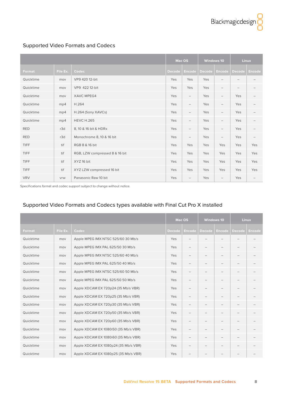<span id="page-7-0"></span>

|             |          |                                | Mac OS        |                          | <b>Windows 10</b> |                          | <b>Linux</b>  |               |
|-------------|----------|--------------------------------|---------------|--------------------------|-------------------|--------------------------|---------------|---------------|
| Format      | File Ex. | Codec                          | <b>Decode</b> | <b>Encode</b>            | <b>Decode</b>     | <b>Encode</b>            | <b>Decode</b> | <b>Encode</b> |
| Quicktime   | mov      | VP9 420 12-bit                 | Yes           | Yes                      | Yes               | $\overline{\phantom{0}}$ |               |               |
| Quicktime   | mov      | VP9 422 12-bit                 | Yes           | Yes                      | Yes               | $\overline{\phantom{0}}$ |               |               |
| Quicktime   | mov      | <b>XAVC MPEG4</b>              | Yes           | $\qquad \qquad -$        | Yes               | $\overline{\phantom{0}}$ | Yes           |               |
| Quicktime   | mp4      | H.264                          | Yes           | $\qquad \qquad -$        | Yes               | $\overline{\phantom{m}}$ | Yes           |               |
| Quicktime   | mp4      | H.264 (Sony XAVCs)             | Yes           | $\overline{\phantom{0}}$ | Yes               | $\overline{\phantom{m}}$ | Yes           |               |
| Quicktime   | mp4      | <b>HEVC H.265</b>              | Yes           | $\overline{\phantom{0}}$ | Yes               | $\overline{\phantom{m}}$ | Yes           |               |
| <b>RED</b>  | r3d      | 8, 10 & 16 bit & HDRx          | Yes           | $\qquad \qquad -$        | Yes               | $\overline{\phantom{m}}$ | Yes           |               |
| <b>RED</b>  | r3d      | Monochrome 8, 10 & 16 bit      | Yes           | $\overline{\phantom{a}}$ | Yes               | $\overline{\phantom{m}}$ | Yes           |               |
| <b>TIFF</b> | tif      | RGB 8 & 16 bit                 | Yes           | Yes                      | Yes               | Yes                      | Yes           | Yes           |
| <b>TIFF</b> | tif      | RGB, LZW compressed 8 & 16 bit | Yes           | Yes                      | Yes               | Yes                      | Yes           | Yes           |
| <b>TIFF</b> | tif      | XYZ 16 bit                     | Yes           | Yes                      | Yes               | Yes                      | Yes           | Yes           |
| <b>TIFF</b> | tif      | XYZ LZW compressed 16 bit      | Yes           | Yes                      | Yes               | Yes                      | Yes           | Yes           |
| <b>VRV</b>  | vrw      | Panasonic Raw 10 bit           | Yes           | $\overline{\phantom{0}}$ | Yes               | $\overline{\phantom{m}}$ | Yes           |               |

Specifications format and codec support subject to change without notice.

#### Supported Video Formats and Codecs types available with Final Cut Pro X installed

|           |          |                                      | <b>Mac OS</b> |                          | <b>Windows 10</b>        |               |                          | <b>Linux</b>  |
|-----------|----------|--------------------------------------|---------------|--------------------------|--------------------------|---------------|--------------------------|---------------|
| Format    | File Ex. | Codec                                | <b>Decode</b> | <b>Encode</b>            | <b>Decode</b>            | <b>Encode</b> | <b>Decode</b>            | <b>Encode</b> |
| Quicktime | mov      | Apple MPEG IMX NTSC 525/60 30 Mb/s   | Yes           | $\qquad \qquad -$        |                          |               | $\qquad \qquad -$        |               |
| Quicktime | mov      | Apple MPEG IMX PAL 625/50 30 Mb/s    | Yes           | $\qquad \qquad -$        | $\overline{\phantom{0}}$ |               | $\qquad \qquad -$        |               |
| Quicktime | mov      | Apple MPEG IMX NTSC 525/60 40 Mb/s   | Yes           | $\qquad \qquad -$        |                          |               | $\qquad \qquad -$        |               |
| Quicktime | mov      | Apple MPEG IMX PAL 625/50 40 Mb/s    | Yes           | $\qquad \qquad -$        |                          |               | $\qquad \qquad -$        |               |
| Quicktime | mov      | Apple MPEG IMX NTSC 525/60 50 Mb/s   | Yes           | $\qquad \qquad -$        | $\overline{\phantom{0}}$ |               | $\overline{\phantom{m}}$ |               |
| Quicktime | mov      | Apple MPEG IMX PAL 625/50 50 Mb/s    | Yes           | $\qquad \qquad -$        | $\overline{\phantom{0}}$ |               | $\overline{\phantom{m}}$ |               |
| Quicktime | mov      | Apple XDCAM EX 720p24 (35 Mb/s VBR)  | Yes           | $\qquad \qquad -$        | $\qquad \qquad -$        |               | $\overline{\phantom{0}}$ |               |
| Quicktime | mov      | Apple XDCAM EX 720p25 (35 Mb/s VBR)  | Yes           | $\overline{\phantom{0}}$ | $\qquad \qquad -$        |               | $\qquad \qquad -$        |               |
| Quicktime | mov      | Apple XDCAM EX 720p30 (35 Mb/s VBR)  | Yes           | $\overline{\phantom{0}}$ | $\qquad \qquad -$        |               | $\qquad \qquad -$        |               |
| Quicktime | mov      | Apple XDCAM EX 720p50 (35 Mb/s VBR)  | Yes           | $\overline{\phantom{0}}$ | $\overline{\phantom{a}}$ |               | $\overline{\phantom{a}}$ |               |
| Quicktime | mov      | Apple XDCAM EX 720p60 (35 Mb/s VBR)  | Yes           | $\overline{\phantom{0}}$ |                          |               |                          |               |
| Quicktime | mov      | Apple XDCAM EX 1080i50 (35 Mb/s VBR) | Yes           | $\overline{\phantom{0}}$ |                          |               |                          |               |
| Quicktime | mov      | Apple XDCAM EX 1080i60 (35 Mb/s VBR) | Yes           | $\overline{\phantom{0}}$ | $\qquad \qquad -$        |               | $\overline{\phantom{0}}$ |               |
| Quicktime | mov      | Apple XDCAM EX 1080p24 (35 Mb/s VBR) | Yes           | $\overline{\phantom{0}}$ | $\qquad \qquad -$        |               | $\qquad \qquad -$        |               |
| Quicktime | mov      | Apple XDCAM EX 1080p25 (35 Mb/s VBR) | Yes           |                          |                          |               |                          |               |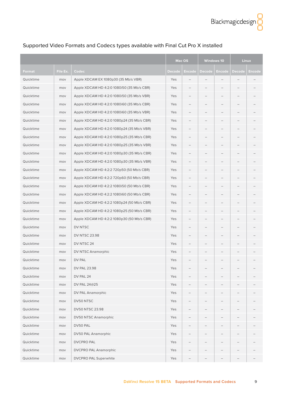|           |          |                                            | Mac OS        |                          | <b>Windows 10</b>        |        | <b>Linux</b> |        |
|-----------|----------|--------------------------------------------|---------------|--------------------------|--------------------------|--------|--------------|--------|
| Format    | File Ex. | Codec                                      | <b>Decode</b> | <u>Encode</u>            | Decode                   | Encode | Decode       | Encode |
| Quicktime | mov      | Apple XDCAM EX 1080p30 (35 Mb/s VBR)       | Yes           |                          |                          |        |              |        |
| Quicktime | mov      | Apple XDCAM HD 4:2:0 1080i50 (35 Mb/s CBR) | Yes           |                          |                          |        |              |        |
| Quicktime | mov      | Apple XDCAM HD 4:2:0 1080i50 (35 Mb/s VBR) | Yes           |                          |                          |        |              |        |
| Quicktime | mov      | Apple XDCAM HD 4:2:0 1080i60 (35 Mb/s CBR) | Yes           | $\qquad \qquad -$        | $\qquad \qquad -$        |        |              |        |
| Quicktime | mov      | Apple XDCAM HD 4:2:0 1080i60 (35 Mb/s VBR) | Yes           |                          |                          |        |              |        |
| Quicktime | mov      | Apple XDCAM HD 4:2:0 1080p24 (35 Mb/s CBR) | Yes           |                          |                          |        |              |        |
| Quicktime | mov      | Apple XDCAM HD 4:2:0 1080p24 (35 Mb/s VBR) | Yes           |                          |                          |        |              |        |
| Quicktime | mov      | Apple XDCAM HD 4:2:0 1080p25 (35 Mb/s CBR) | Yes           |                          |                          |        |              |        |
| Quicktime | mov      | Apple XDCAM HD 4:2:0 1080p25 (35 Mb/s VBR) | Yes           |                          |                          |        |              |        |
| Quicktime | mov      | Apple XDCAM HD 4:2:0 1080p30 (35 Mb/s CBR) | Yes           |                          |                          |        |              |        |
| Quicktime | mov      | Apple XDCAM HD 4:2:0 1080p30 (35 Mb/s VBR) | Yes           |                          |                          |        |              |        |
| Quicktime | mov      | Apple XDCAM HD 4:2:2 720p50 (50 Mb/s CBR)  | Yes           |                          | $\qquad \qquad -$        |        | -            |        |
| Quicktime | mov      | Apple XDCAM HD 4:2:2 720p60 (50 Mb/s CBR)  | Yes           |                          |                          |        |              |        |
| Quicktime | mov      | Apple XDCAM HD 4:2:2 1080i50 (50 Mb/s CBR) | Yes           |                          |                          |        |              |        |
| Quicktime | mov      | Apple XDCAM HD 4:2:2 1080i60 (50 Mb/s CBR) | Yes           |                          |                          |        |              |        |
| Quicktime | mov      | Apple XDCAM HD 4:2:2 1080p24 (50 Mb/s CBR) | Yes           |                          |                          |        |              |        |
| Quicktime | mov      | Apple XDCAM HD 4:2:2 1080p25 (50 Mb/s CBR) | Yes           |                          |                          |        |              |        |
| Quicktime | mov      | Apple XDCAM HD 4:2:2 1080p30 (50 Mb/s CBR) | Yes           |                          |                          |        |              |        |
| Quicktime | mov      | DV NTSC                                    | Yes           | -                        |                          |        |              |        |
| Quicktime | mov      | <b>DV NTSC 23.98</b>                       | Yes           | $\overline{\phantom{0}}$ | $\overline{\phantom{0}}$ |        |              |        |
| Quicktime | mov      | DV NTSC 24                                 | Yes           |                          | $\qquad \qquad -$        |        |              |        |
| Quicktime | mov      | DV NTSC Anamorphic                         | Yes           |                          |                          |        |              |        |
| Quicktime | mov      | DV PAL                                     | Yes           |                          |                          |        |              |        |
| Quicktime | mov      | DV PAL 23.98                               | Yes           |                          |                          |        |              |        |
| Quicktime | mov      | DV PAL 24                                  | Yes           |                          |                          |        |              |        |
| Quicktime | mov      | DV PAL 24@25                               | Yes           |                          |                          |        |              |        |
| Quicktime | mov      | DV PAL Anamorphic                          | Yes           |                          |                          |        |              |        |
| Quicktime | mov      | DV50 NTSC                                  | Yes           | $\overline{\phantom{0}}$ |                          |        |              |        |
| Quicktime | mov      | DV50 NTSC 23.98                            | Yes           |                          |                          |        |              |        |
| Quicktime | mov      | <b>DV50 NTSC Anamorphic</b>                | Yes           |                          |                          |        |              |        |
| Quicktime | mov      | DV50 PAL                                   | Yes           |                          |                          |        |              |        |
| Quicktime | mov      | DV50 PAL Anamorphic                        | Yes           |                          |                          |        |              |        |
| Quicktime | mov      | <b>DVCPRO PAL</b>                          | Yes           |                          |                          |        |              |        |
| Quicktime | mov      | <b>DVCPRO PAL Anamorphic</b>               | Yes           |                          |                          |        |              |        |
| Quicktime | mov      | DVCPRO PAL Superwhite                      | Yes           | —                        |                          |        | -            |        |

# Supported Video Formats and Codecs types available with Final Cut Pro X installed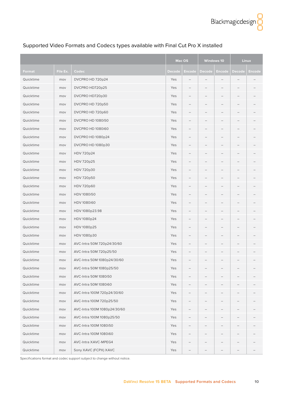|           |          |                              |        | <b>Mac OS</b>            | <b>Windows 10</b>        |                   |                          | <b>Linux</b> |
|-----------|----------|------------------------------|--------|--------------------------|--------------------------|-------------------|--------------------------|--------------|
| Format    | File Ex. | Codec                        | Decode | Encode                   | Decode                   | Encode            | Decode                   | Encode       |
| Quicktime | mov      | DVCPRO HD 720p24             | Yes    |                          |                          |                   |                          |              |
| Quicktime | mov      | DVCPRO HD720p25              | Yes    | $\overline{\phantom{0}}$ | $\overline{\phantom{m}}$ | $\qquad \qquad -$ | $\qquad \qquad -$        |              |
| Quicktime | mov      | DVCPRO HD720p30              | Yes    | -                        |                          |                   |                          |              |
| Quicktime | mov      | DVCPRO HD 720p50             | Yes    | $\qquad \qquad -$        |                          |                   |                          |              |
| Quicktime | mov      | DVCPRO HD 720p60             | Yes    |                          |                          |                   |                          |              |
| Quicktime | mov      | DVCPRO HD 1080i50            | Yes    | $\qquad \qquad$          | -                        |                   | $\qquad \qquad -$        |              |
| Quicktime | mov      | DVCPRO HD 1080i60            | Yes    |                          |                          |                   |                          |              |
| Quicktime | mov      | DVCPRO HD 1080p24            | Yes    | -                        |                          |                   |                          |              |
| Quicktime | mov      | DVCPRO HD 1080p30            | Yes    |                          |                          |                   |                          |              |
| Quicktime | mov      | HDV 720p24                   | Yes    | $\overline{\phantom{0}}$ | $\qquad \qquad -$        |                   | $\overline{\phantom{m}}$ |              |
| Quicktime | mov      | HDV 720p25                   | Yes    | -                        |                          |                   |                          |              |
| Quicktime | mov      | HDV 720p30                   | Yes    | -                        | $\qquad \qquad -$        |                   |                          |              |
| Quicktime | mov      | HDV 720p50                   | Yes    |                          |                          |                   |                          |              |
| Quicktime | mov      | HDV 720p60                   | Yes    |                          |                          |                   |                          |              |
| Quicktime | mov      | HDV 1080i50                  | Yes    |                          |                          |                   |                          |              |
| Quicktime | mov      | HDV 1080i60                  | Yes    | -                        |                          |                   |                          |              |
| Quicktime | mov      | HDV 1080p23.98               | Yes    |                          |                          |                   |                          |              |
| Quicktime | mov      | HDV 1080p24                  | Yes    | $\overline{\phantom{0}}$ | $\qquad \qquad -$        |                   |                          |              |
| Quicktime | mov      | HDV 1080p25                  | Yes    | -                        | —                        |                   | $\qquad \qquad -$        |              |
| Quicktime | mov      | HDV 1080p30                  | Yes    | -                        |                          |                   |                          |              |
| Quicktime | mov      | AVC-Intra 50M 720p24/30/60   | Yes    |                          |                          |                   |                          |              |
| Quicktime | mov      | AVC-Intra 50M 720p25/50      | Yes    | $\overline{\phantom{0}}$ |                          |                   |                          |              |
| Quicktime | mov      | AVC-Intra 50M 1080p24/30/60  | Yes    |                          |                          |                   |                          |              |
| Quicktime | mov      | AVC-Intra 50M 1080p25/50     | Yes    |                          |                          |                   |                          |              |
| Quicktime | mov      | AVC-Intra 50M 1080i50        | Yes    |                          |                          |                   |                          |              |
| Quicktime | mov      | AVC-Intra 50M 1080i60        | Yes    |                          |                          |                   |                          |              |
| Quicktime | mov      | AVC-Intra 100M 720p24/30/60  | Yes    |                          |                          |                   |                          |              |
| Quicktime | mov      | AVC-Intra 100M 720p25/50     | Yes    |                          |                          |                   |                          |              |
| Quicktime | mov      | AVC-Intra 100M 1080p24/30/60 | Yes    |                          |                          |                   |                          |              |
| Quicktime | mov      | AVC-Intra 100M 1080p25/50    | Yes    |                          |                          |                   |                          |              |
| Quicktime | mov      | AVC-Intra 100M 1080i50       | Yes    |                          |                          |                   |                          |              |
| Quicktime | mov      | AVC-Intra 100M 1080i60       | Yes    |                          |                          |                   |                          |              |
| Quicktime | mov      | AVC-Intra XAVC-MPEG4         | Yes    |                          |                          |                   |                          |              |
| Quicktime | mov      | Sony XAVC (FCPX) XAVC        | Yes    | —                        | -                        | -                 | -                        |              |

#### Supported Video Formats and Codecs types available with Final Cut Pro X installed

Specifications format and codec support subject to change without notice.